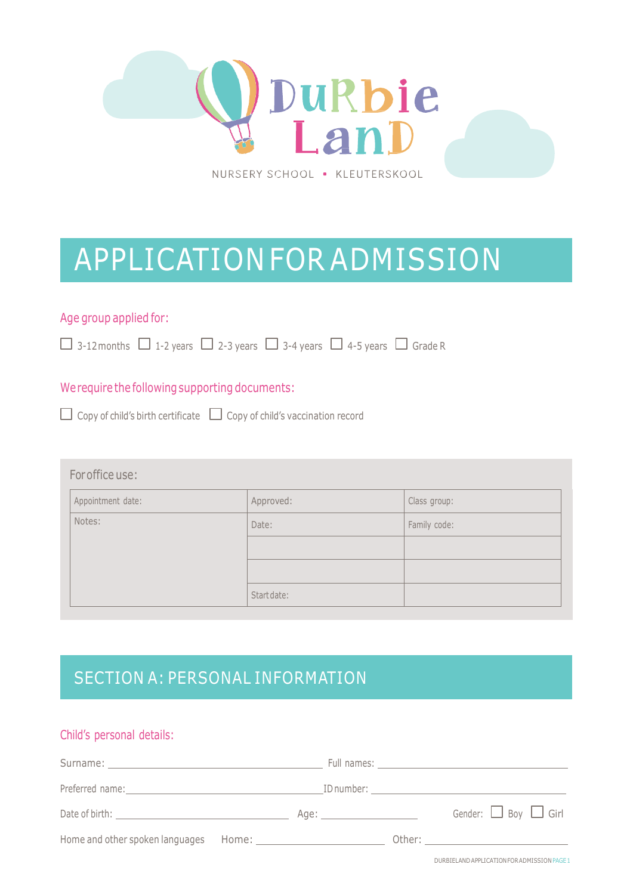

# APPLICATION FOR ADMISSION

### Age group applied for:

 $\Box$  3-12 months  $\Box$  1-2 years  $\Box$  2-3 years  $\Box$  3-4 years  $\Box$  4-5 years  $\Box$  Grade R

### We require the following supporting documents:

 $\Box$  Copy of child's birth certificate  $\Box$  Copy of child's vaccination record

#### Foroffice use:

| Appointment date: | Approved:   | Class group: |
|-------------------|-------------|--------------|
| Notes:            | Date:       | Family code: |
|                   |             |              |
|                   |             |              |
|                   | Start date: |              |

# SECTION A: PERSONAL INFORMATION

#### Child's personal details:

| Date of birth: University of the University of the University of the University of the University of the University of the University of the University of the University of the University of the University of the Universit |  | Gender: $\Box$ Boy $\Box$ Girl |
|--------------------------------------------------------------------------------------------------------------------------------------------------------------------------------------------------------------------------------|--|--------------------------------|
|                                                                                                                                                                                                                                |  |                                |

DURBIELANDAPPLICATIONFORADMISSIONPAGE1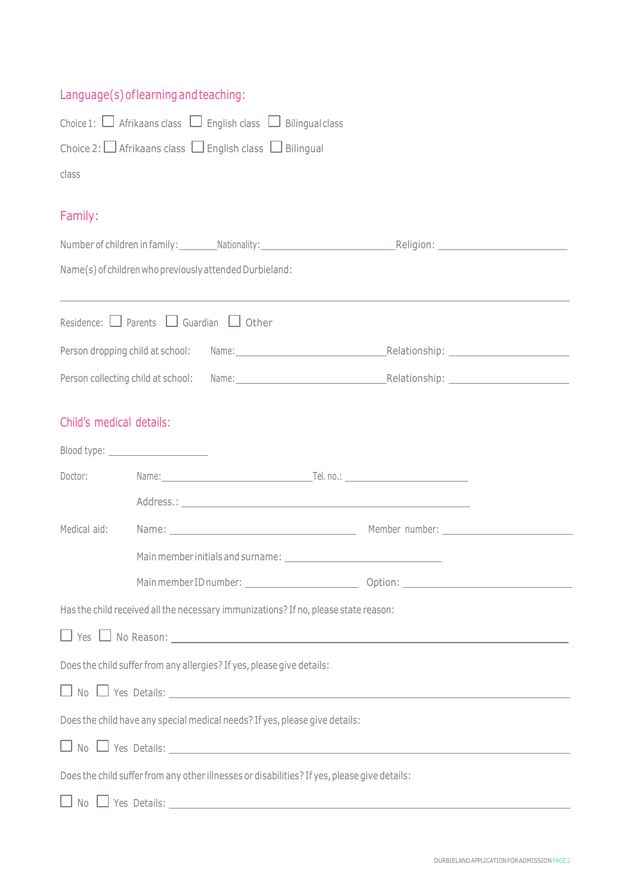### Language(s)oflearningandteaching:

| Choice 1: $\Box$ Afrikaans class $\Box$ English class $\Box$ Bilingual class                 |                                                                        |                                                                                                                 |  |
|----------------------------------------------------------------------------------------------|------------------------------------------------------------------------|-----------------------------------------------------------------------------------------------------------------|--|
|                                                                                              | Choice 2: $\Box$ Afrikaans class $\Box$ English class $\Box$ Bilingual |                                                                                                                 |  |
| class                                                                                        |                                                                        |                                                                                                                 |  |
|                                                                                              |                                                                        |                                                                                                                 |  |
| Family:                                                                                      |                                                                        |                                                                                                                 |  |
|                                                                                              |                                                                        |                                                                                                                 |  |
|                                                                                              | Name(s) of children who previously attended Durbieland:                |                                                                                                                 |  |
|                                                                                              |                                                                        |                                                                                                                 |  |
|                                                                                              | Residence: $\Box$ Parents $\Box$ Guardian $\Box$ Other                 |                                                                                                                 |  |
|                                                                                              |                                                                        | Person dropping child at school: Name: Name: Name: Relationship: Nelationship:                                  |  |
|                                                                                              |                                                                        | Person collecting child at school: Name: Name: Name: Relationship: Nelationship:                                |  |
|                                                                                              |                                                                        |                                                                                                                 |  |
| Child's medical details:                                                                     |                                                                        |                                                                                                                 |  |
| Blood type: ________________________                                                         |                                                                        |                                                                                                                 |  |
|                                                                                              |                                                                        | Doctor: Name: Name: Name: Name: Name: Name: Name: Name: Name: Name: Name: Name: Name: Name: Name: Name: Name: N |  |
|                                                                                              |                                                                        |                                                                                                                 |  |
|                                                                                              |                                                                        | Medical aid: Mame: Mame: Mame: Mamber number: Member number: Magnus Member number:                              |  |
|                                                                                              |                                                                        |                                                                                                                 |  |
|                                                                                              | Main member ID number: _________________________                       |                                                                                                                 |  |
| Has the child received all the necessary immunizations? If no, please state reason:          |                                                                        |                                                                                                                 |  |
|                                                                                              |                                                                        |                                                                                                                 |  |
| Does the child suffer from any allergies? If yes, please give details:                       |                                                                        |                                                                                                                 |  |
| $\Box$ No $\Box$ Yes Details: $\Box$                                                         |                                                                        |                                                                                                                 |  |
| Does the child have any special medical needs? If yes, please give details:                  |                                                                        |                                                                                                                 |  |
| $\Box$ No $\Box$ Yes Details: $\Box$                                                         |                                                                        |                                                                                                                 |  |
| Does the child suffer from any other illnesses or disabilities? If yes, please give details: |                                                                        |                                                                                                                 |  |
|                                                                                              |                                                                        |                                                                                                                 |  |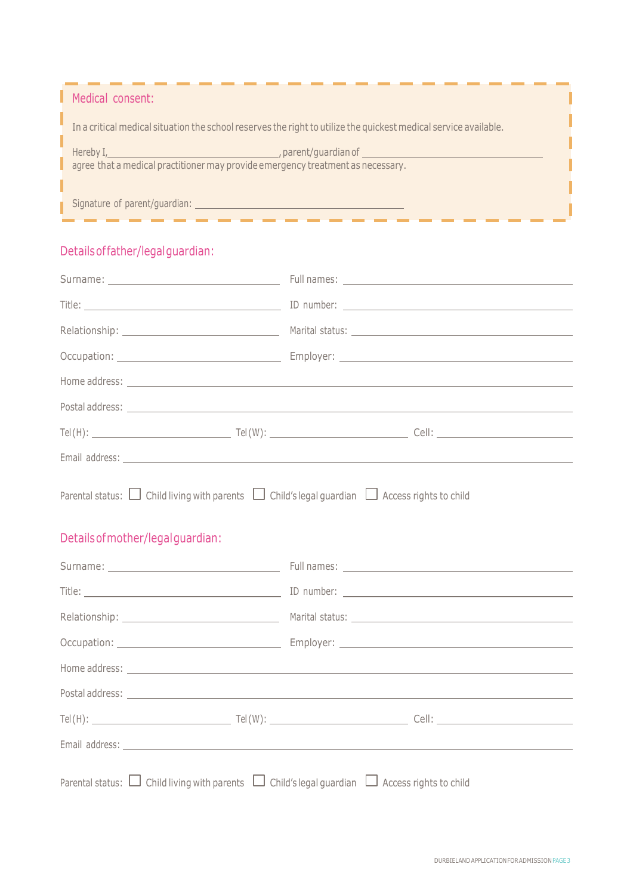| Medical consent:                                                                                                                                                                                                                                                                                                 |  |
|------------------------------------------------------------------------------------------------------------------------------------------------------------------------------------------------------------------------------------------------------------------------------------------------------------------|--|
| In a critical medical situation the school reserves the right to utilize the quickest medical service available.                                                                                                                                                                                                 |  |
| Hereby I, the contract of the contract of the contract of the contract of the contract of the contract of the contract of the contract of the contract of the contract of the contract of the contract of the contract of the<br>agree that a medical practitioner may provide emergency treatment as necessary. |  |
|                                                                                                                                                                                                                                                                                                                  |  |
| Signature of parent/guardian:                                                                                                                                                                                                                                                                                    |  |

### Detailsoffather/legalguardian:

|                                                                                                                                                    | Home address: <u>example and the contract of the contract of the contract of the contract of the contract of the contract of the contract of the contract of the contract of the contract of the contract of the contract of the</u> |
|----------------------------------------------------------------------------------------------------------------------------------------------------|--------------------------------------------------------------------------------------------------------------------------------------------------------------------------------------------------------------------------------------|
|                                                                                                                                                    |                                                                                                                                                                                                                                      |
|                                                                                                                                                    |                                                                                                                                                                                                                                      |
|                                                                                                                                                    |                                                                                                                                                                                                                                      |
| Parental status: $\Box$ Child living with parents $\Box$ Child's legal guardian $\Box$ Access rights to child<br>Details of mother/legal quardian: |                                                                                                                                                                                                                                      |
|                                                                                                                                                    |                                                                                                                                                                                                                                      |
|                                                                                                                                                    |                                                                                                                                                                                                                                      |
|                                                                                                                                                    |                                                                                                                                                                                                                                      |
|                                                                                                                                                    |                                                                                                                                                                                                                                      |
|                                                                                                                                                    | Home address: <u>example and the contract of the contract of the contract of the contract of the contract of the contract of the contract of the contract of the contract of the contract of the contract of the contract of the</u> |
|                                                                                                                                                    |                                                                                                                                                                                                                                      |
|                                                                                                                                                    |                                                                                                                                                                                                                                      |
|                                                                                                                                                    |                                                                                                                                                                                                                                      |
| Parental status: $\Box$ Child living with parents $\Box$ Child's legal guardian $\Box$ Access rights to child                                      |                                                                                                                                                                                                                                      |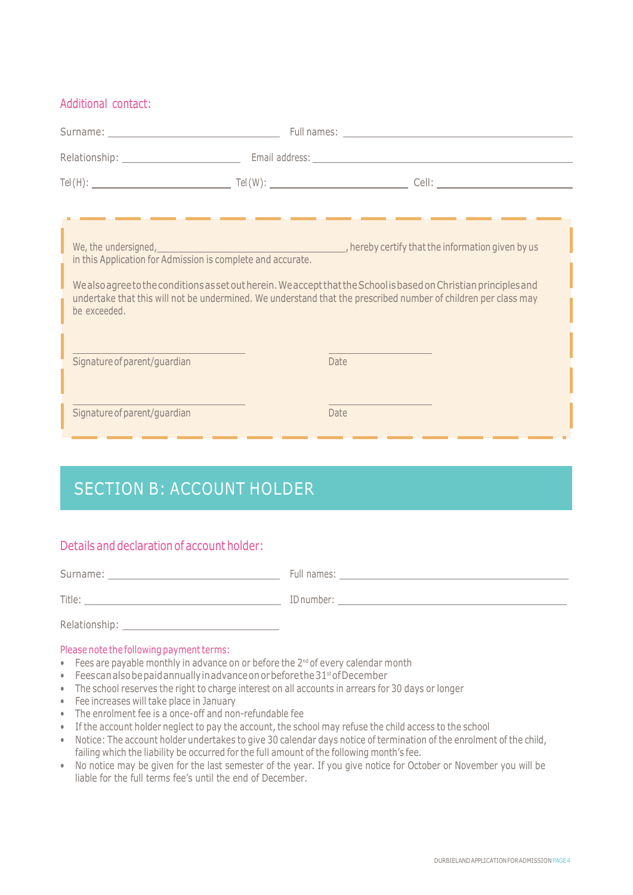#### Additional contact:

|                              | Surname: No. 2014 19:00:00 Pull names: No. 2014 19:00:00 Pull names: No. 2014 19:00:00 Pull names: No. 2014 19:00:00 Pull names: No. 2014 19:00:00 Pull names: No. 2014 19:00:00 Pull names: No. 2014 19:00:00 Pull names: No.                                                                                                                                                 |  |
|------------------------------|--------------------------------------------------------------------------------------------------------------------------------------------------------------------------------------------------------------------------------------------------------------------------------------------------------------------------------------------------------------------------------|--|
|                              |                                                                                                                                                                                                                                                                                                                                                                                |  |
|                              |                                                                                                                                                                                                                                                                                                                                                                                |  |
| be exceeded.                 | We, the undersigned, we are undersigned, we are the information given by us in this Application for Admission is complete and accurate.<br>We also agree to the conditions as set out herein. We accept that the School is based on Christian principles and<br>undertake that this will not be undermined. We understand that the prescribed number of children per class may |  |
| Signature of parent/guardian | <b>Date</b>                                                                                                                                                                                                                                                                                                                                                                    |  |
| Signature of parent/guardian | Date                                                                                                                                                                                                                                                                                                                                                                           |  |

### SECTION B: ACCOUNT HOLDER

#### Details and declaration of account holder:

| Title: The contract of the contract of the contract of the contract of the contract of the contract of the contract of the contract of the contract of the contract of the contract of the contract of the contract of the con |  |
|--------------------------------------------------------------------------------------------------------------------------------------------------------------------------------------------------------------------------------|--|
| Relationship: Nelationship:                                                                                                                                                                                                    |  |
| Please note the following payment terms:                                                                                                                                                                                       |  |

- $\bullet$  Fees are payable monthly in advance on or before the 2<sup>nd</sup> of every calendar month
- Feescanalsobepaidannuallyinadvanceonorbeforethe31 stofDecember
- The school reserves the right to charge interest on all accounts in arrears for 30 days or longer
- Fee increases will take place in January
- The enrolment fee is a once-off and non-refundable fee
- If the account holder neglect to pay the account, the school may refuse the child access to the school
- Notice: The account holder undertakes to give 30 calendar days notice of termination of the enrolment of the child, failing which the liability be occurred for the full amount of the following month's fee.
- No notice may be given for the last semester of the year. If you give notice for October or November you will be liable for the full terms fee's until the end of December.